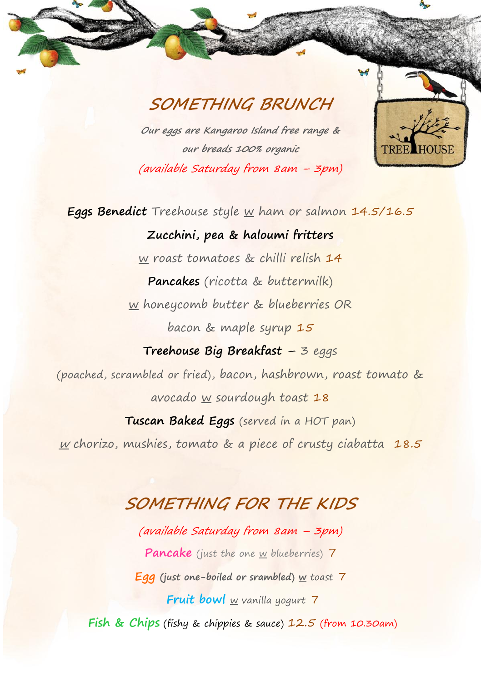## **SOMETHING BRUNCH**

**Our eggs are Kangaroo Island free range & our breads 100% organic** (available Saturday from 8am – 3pm)



**Eggs Benedict** Treehouse style w ham or salmon 14.5/16.5

**Zucchini, pea & haloumi fritters** w roast tomatoes & chilli relish 14 **Pancakes** (ricotta & buttermilk) w honeycomb butter & blueberries OR bacon & maple syrup 15 **Treehouse Big Breakfast** – 3 eggs (poached, scrambled or fried), bacon, hashbrown, roast tomato & avocado w sourdough toast 18 **Tuscan Baked Eggs** (served in a HOT pan)

 $w$  chorizo, mushies, tomato & a piece of crusty ciabatta 18.5

### **SOMETHING FOR THE KIDS**

(available Saturday from 8am – 3pm) Pancake (just the one w blueberries) 7 **Egg (just one-boiled or srambled) w** toast 7 **Fruit bowl** w vanilla yogurt 7 Fish & Chips (fishy & chippies & sauce) 12.5 (from 10.30am)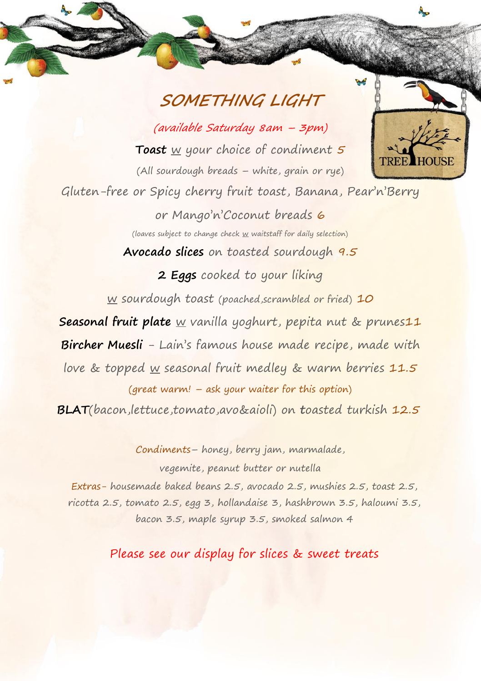## **SOMETHING LIGHT**

(available Saturday 8am – 3pm) **Toast** w your choice of condiment 5 (All sourdough breads – white, grain or rye)



Gluten-free or Spicy cherry fruit toast, Banana, Pear'n'Berry

or Mango'n'Coconut breads 6 (loaves subject to change check w waitstaff for daily selection)

**Avocado slices** on toasted sourdough 9.5

#### 2 **Eggs** cooked to your liking

w sourdough toast (poached, scrambled or fried) 10

**Seasonal fruit plate** w vanilla yoghurt, pepita nut & prunes11

**Bircher Muesli** - Lain's famous house made recipe, made with

love & topped w seasonal fruit medley & warm berries 11.5

(great warm! – ask your waiter for this option)

**BLAT**(bacon,lettuce,tomato,avo&aioli) on **t**oasted turkish 12.5

Condiments– honey, berry jam, marmalade,

vegemite, peanut butter or nutella

Extras- housemade baked beans 2.5, avocado 2.5, mushies 2.5, toast 2.5, ricotta 2.5, tomato 2.5, egg 3, hollandaise 3, hashbrown 3.5, haloumi 3.5, bacon 3.5, maple syrup 3.5, smoked salmon 4

Please see our display for slices & sweet treats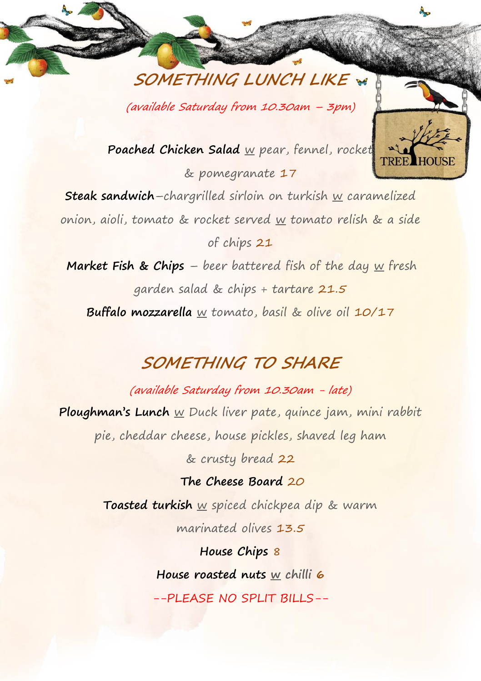**SOMETHING LUNCH LIKE**

(available Saturday from 10.30am – 3pm)

Poached Chicken Salad w pear, fennel, rocket & pomegranate 17

**Steak sandwich**–chargrilled sirloin on turkish w caramelized onion, aioli, tomato & rocket served w tomato relish & a side of chips 21

**Market Fish & Chips** – beer battered fish of the day w fresh garden salad & chips + tartare 21.5 **Buffalo mozzarella** w tomato, basil & olive oil 10/17

# **SOMETHING TO SHARE**

(available Saturday from 10.30am - late) **Ploughman's Lunch** w Duck liver pate, quince jam, mini rabbit pie, cheddar cheese, house pickles, shaved leg ham & crusty bread 22

**The Cheese Board** 20

**Toasted turkish** w spiced chickpea dip & warm marinated olives 13.5

> **House Chips** 8 **House roasted nuts w chilli 6** --PLEASE NO SPLIT BILLS--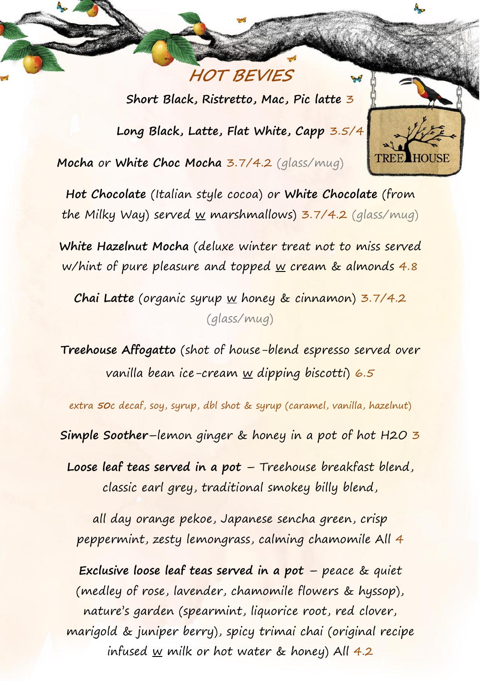**Short Black, Ristretto, Mac, Pic latte** 3

**HOT BEVIES** 

**Long Black, Latte, Flat White, Capp** 3.5/4

**Mocha** or **White Choc Mocha** 3.7/4.2 (glass/mug)

**Hot Chocolate** (Italian style cocoa) or **White Chocolate** (from the Milky Way) served w marshmallows)  $3.7/4.2$  (glass/mug)

**White Hazelnut Mocha** (deluxe winter treat not to miss served w/hint of pure pleasure and topped  $\underline{w}$  cream & almonds 4.8

**Chai Latte** (organic syrup w honey & cinnamon) 3.7/4.2 (glass/mug)

**Treehouse Affogatto** (shot of house-blend espresso served over vanilla bean ice-cream  $\underline{w}$  dipping biscotti) 6.5

extra **50**c decaf, soy, syrup, dbl shot & syrup (caramel, vanilla, hazelnut)

**Simple Soother**–lemon ginger & honey in a pot of hot H2O 3

**Loose leaf teas served in a pot** – Treehouse breakfast blend, classic earl grey, traditional smokey billy blend,

all day orange pekoe, Japanese sencha green, crisp peppermint, zesty lemongrass, calming chamomile All 4

**Exclusive loose leaf teas served in a pot** – peace & quiet (medley of rose, lavender, chamomile flowers & hyssop), nature's garden (spearmint, liquorice root, red clover, marigold & juniper berry), spicy trimai chai (original recipe infused w milk or hot water & honey) All  $4.2$